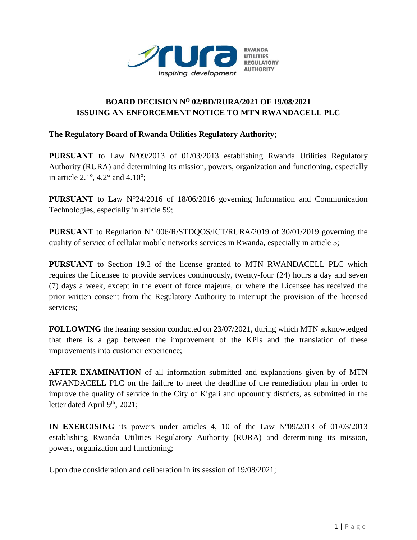

## **BOARD DECISION N<sup>O</sup> 02/BD/RURA/2021 OF 19/08/2021 ISSUING AN ENFORCEMENT NOTICE TO MTN RWANDACELL PLC**

## **The Regulatory Board of Rwanda Utilities Regulatory Authority**;

**PURSUANT** to Law N°09/2013 of 01/03/2013 establishing Rwanda Utilities Regulatory Authority (RURA) and determining its mission, powers, organization and functioning, especially in article  $2.1^\circ$ ,  $4.2^\circ$  and  $4.10^\circ$ ;

**PURSUANT** to Law N°24/2016 of 18/06/2016 governing Information and Communication Technologies, especially in article 59;

**PURSUANT** to Regulation N° 006/R/STDQOS/ICT/RURA/2019 of 30/01/2019 governing the quality of service of cellular mobile networks services in Rwanda, especially in article 5;

**PURSUANT** to Section 19.2 of the license granted to MTN RWANDACELL PLC which requires the Licensee to provide services continuously, twenty-four (24) hours a day and seven (7) days a week, except in the event of force majeure, or where the Licensee has received the prior written consent from the Regulatory Authority to interrupt the provision of the licensed services;

**FOLLOWING** the hearing session conducted on 23/07/2021, during which MTN acknowledged that there is a gap between the improvement of the KPIs and the translation of these improvements into customer experience;

**AFTER EXAMINATION** of all information submitted and explanations given by of MTN RWANDACELL PLC on the failure to meet the deadline of the remediation plan in order to improve the quality of service in the City of Kigali and upcountry districts, as submitted in the letter dated April 9<sup>th</sup>, 2021;

**IN EXERCISING** its powers under articles 4, 10 of the Law Nº09/2013 of 01/03/2013 establishing Rwanda Utilities Regulatory Authority (RURA) and determining its mission, powers, organization and functioning;

Upon due consideration and deliberation in its session of 19/08/2021;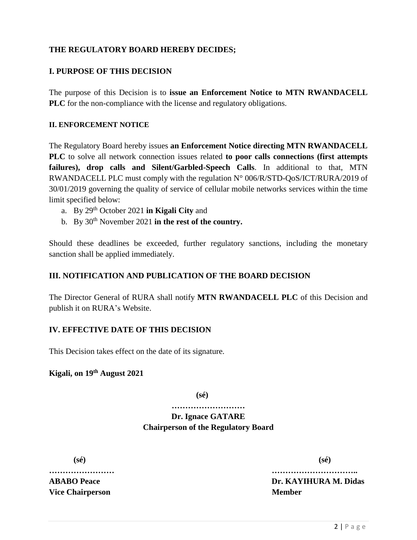## **THE REGULATORY BOARD HEREBY DECIDES;**

### **I. PURPOSE OF THIS DECISION**

The purpose of this Decision is to **issue an Enforcement Notice to MTN RWANDACELL PLC** for the non-compliance with the license and regulatory obligations.

#### **II. ENFORCEMENT NOTICE**

The Regulatory Board hereby issues **an Enforcement Notice directing MTN RWANDACELL PLC** to solve all network connection issues related **to poor calls connections (first attempts failures), drop calls and Silent/Garbled-Speech Calls**. In additional to that, MTN RWANDACELL PLC must comply with the regulation N° 006/R/STD-QoS/ICT/RURA/2019 of 30/01/2019 governing the quality of service of cellular mobile networks services within the time limit specified below:

- a. By 29th October 2021 **in Kigali City** and
- b. By 30<sup>th</sup> November 2021 **in the rest of the country.**

Should these deadlines be exceeded, further regulatory sanctions, including the monetary sanction shall be applied immediately.

#### **III. NOTIFICATION AND PUBLICATION OF THE BOARD DECISION**

The Director General of RURA shall notify **MTN RWANDACELL PLC** of this Decision and publish it on RURA's Website.

#### **IV. EFFECTIVE DATE OF THIS DECISION**

This Decision takes effect on the date of its signature.

## **Kigali, on 19th August 2021**

**(sé)**

**……………………… Dr. Ignace GATARE**

# **Chairperson of the Regulatory Board**

**(sé) (sé)**

**Vice Chairperson Member** 

**…………………… ………………………….. ABABO Peace Dr. KAYIHURA M. Didas**